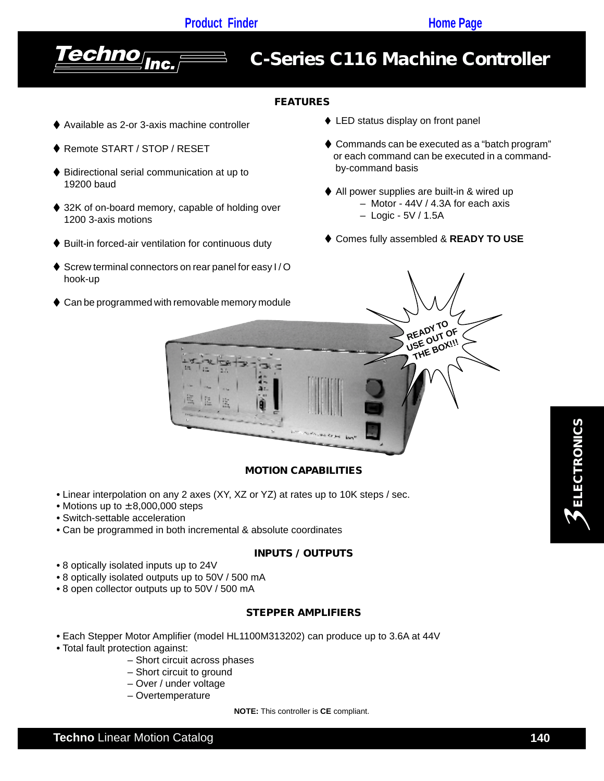

# *C-Series C116 Machine Controller*

# **FEATURES**

- ◆ Available as 2-or 3-axis machine controller
- ◆ Remote START / STOP / RESET
- ♦ Bidirectional serial communication at up to 19200 baud
- ♦ 32K of on-board memory, capable of holding over 1200 3-axis motions
- ♦ Built-in forced-air ventilation for continuous duty
- ♦ Screw terminal connectors on rear panel for easy I/O hook-up
- ♦ Can be programmed with removable memory module
- ♦ LED status display on front panel
- ♦ Commands can be executed as a "batch program" or each command can be executed in a command by-command basis
- ♦ All power supplies are built-in & wired up – Motor - 44V / 4.3A for each axis – Logic - 5V / 1.5A
- Comes fully assembled & **READY TO USE**



# **MOTION CAPABILITIES**

- Linear interpolation on any 2 axes (XY, XZ or YZ) at rates up to 10K steps / sec.
- Motions up to ± 8,000,000 steps
- Switch-settable acceleration
- Can be programmed in both incremental & absolute coordinates

#### **INPUTS / OUTPUTS**

- **•** 8 optically isolated inputs up to 24V
- **•** 8 optically isolated outputs up to 50V / 500 mA
- **•** 8 open collector outputs up to 50V / 500 mA

#### **STEPPER AMPLIFIERS**

- Each Stepper Motor Amplifier (model HL1100M313202) can produce up to 3.6A at 44V
- Total fault protection against:
	- Short circuit across phases
	- Short circuit to ground
	- Over / under voltage
	- Overtemperature

**NOTE:** This controller is **CE** compliant.